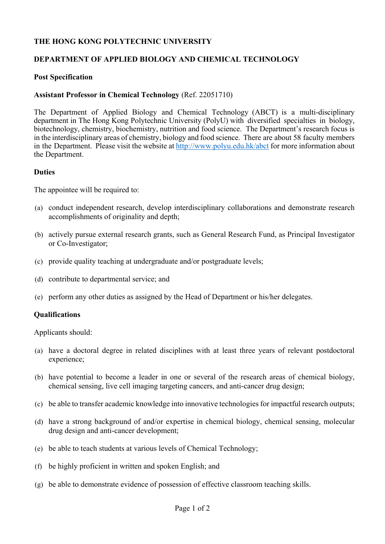## **THE HONG KONG POLYTECHNIC UNIVERSITY**

## **DEPARTMENT OF APPLIED BIOLOGY AND CHEMICAL TECHNOLOGY**

#### **Post Specification**

#### **Assistant Professor in Chemical Technology** (Ref. 22051710)

The Department of Applied Biology and Chemical Technology (ABCT) is a multi-disciplinary department in The Hong Kong Polytechnic University (PolyU) with diversified specialties in biology, biotechnology, chemistry, biochemistry, nutrition and food science. The Department's research focus is in the interdisciplinary areas of chemistry, biology and food science. There are about 58 faculty members in the Department. Please visit the website at http://www.polyu.edu.hk/abct for more information about the Department.

#### **Duties**

The appointee will be required to:

- (a) conduct independent research, develop interdisciplinary collaborations and demonstrate research accomplishments of originality and depth;
- (b) actively pursue external research grants, such as General Research Fund, as Principal Investigator or Co-Investigator;
- (c) provide quality teaching at undergraduate and/or postgraduate levels;
- (d) contribute to departmental service; and
- (e) perform any other duties as assigned by the Head of Department or his/her delegates.

## **Qualifications**

Applicants should:

- (a) have a doctoral degree in related disciplines with at least three years of relevant postdoctoral experience;
- (b) have potential to become a leader in one or several of the research areas of chemical biology, chemical sensing, live cell imaging targeting cancers, and anti-cancer drug design;
- (c) be able to transfer academic knowledge into innovative technologies for impactful research outputs;
- (d) have a strong background of and/or expertise in chemical biology, chemical sensing, molecular drug design and anti-cancer development;
- (e) be able to teach students at various levels of Chemical Technology;
- (f) be highly proficient in written and spoken English; and
- (g) be able to demonstrate evidence of possession of effective classroom teaching skills.